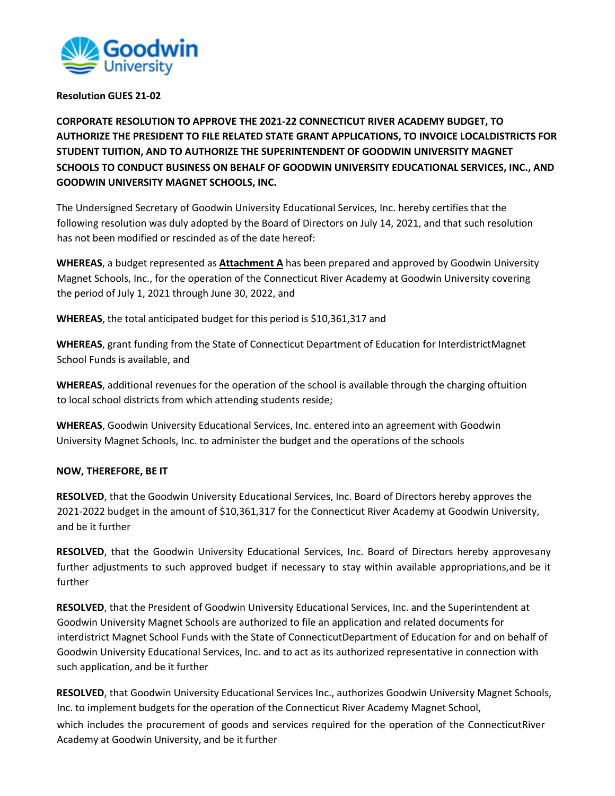

## **Resolution GUES 21-02**

**CORPORATE RESOLUTION TO APPROVE THE 2021-22 CONNECTICUT RIVER ACADEMY BUDGET, TO AUTHORIZE THE PRESIDENT TO FILE RELATED STATE GRANT APPLICATIONS, TO INVOICE LOCALDISTRICTS FOR STUDENT TUITION, AND TO AUTHORIZE THE SUPERINTENDENT OF GOODWIN UNIVERSITY MAGNET SCHOOLS TO CONDUCT BUSINESS ON BEHALF OF GOODWIN UNIVERSITY EDUCATIONAL SERVICES, INC., AND GOODWIN UNIVERSITY MAGNET SCHOOLS, INC.**

The Undersigned Secretary of Goodwin University Educational Services, Inc. hereby certifies that the following resolution was duly adopted by the Board of Directors on July 14, 2021, and that such resolution has not been modified or rescinded as of the date hereof:

**WHEREAS**, a budget represented as **Attachment A** has been prepared and approved by Goodwin University Magnet Schools, Inc., for the operation of the Connecticut River Academy at Goodwin University covering the period of July 1, 2021 through June 30, 2022, and

**WHEREAS**, the total anticipated budget for this period is \$10,361,317 and

**WHEREAS**, grant funding from the State of Connecticut Department of Education for InterdistrictMagnet School Funds is available, and

**WHEREAS**, additional revenues for the operation of the school is available through the charging oftuition to local school districts from which attending students reside;

**WHEREAS**, Goodwin University Educational Services, Inc. entered into an agreement with Goodwin University Magnet Schools, Inc. to administer the budget and the operations of the schools

## **NOW, THEREFORE, BE IT**

**RESOLVED**, that the Goodwin University Educational Services, Inc. Board of Directors hereby approves the 2021-2022 budget in the amount of \$10,361,317 for the Connecticut River Academy at Goodwin University, and be it further

**RESOLVED**, that the Goodwin University Educational Services, Inc. Board of Directors hereby approvesany further adjustments to such approved budget if necessary to stay within available appropriations,and be it further

**RESOLVED**, that the President of Goodwin University Educational Services, Inc. and the Superintendent at Goodwin University Magnet Schools are authorized to file an application and related documents for interdistrict Magnet School Funds with the State of ConnecticutDepartment of Education for and on behalf of Goodwin University Educational Services, Inc. and to act as its authorized representative in connection with such application, and be it further

**RESOLVED**, that Goodwin University Educational Services Inc., authorizes Goodwin University Magnet Schools, Inc. to implement budgets for the operation of the Connecticut River Academy Magnet School, which includes the procurement of goods and services required for the operation of the ConnecticutRiver Academy at Goodwin University, and be it further